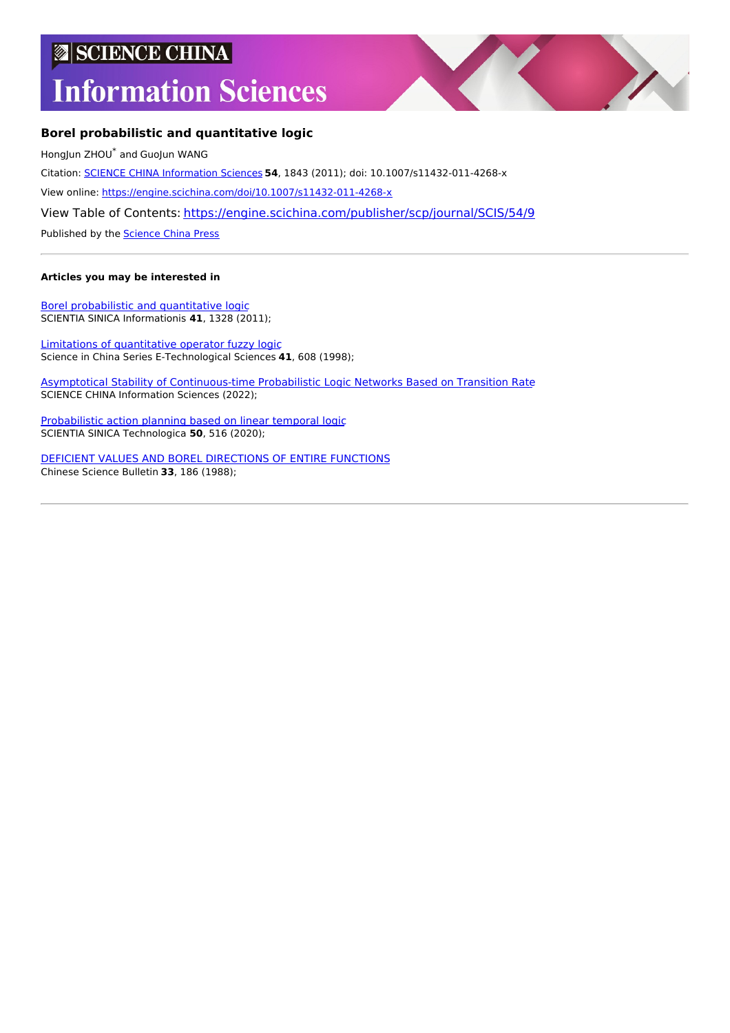## **SCIENCE CHINA**

# **Information Sciences**



### **Borel probabilistic and quantitative logic**

HongJun ZHOU \* and GuoJun WANG Citation: SCIENCE CHINA [Information](https://engine.scichina.com/publisher/scp/journal/SCIS) Sciences **54**, 1843 (2011); doi: 10.1007/s11432-011-4268-x View online: <https://engine.scichina.com/doi/10.1007/s11432-011-4268-x> View Table of Contents: <https://engine.scichina.com/publisher/scp/journal/SCIS/54/9> Published by the [Science](https://engine.scichina.com/publisher/scp) China Press

#### **Articles you may be interested in**

Borel [probabilistic](https://engine.scichina.com/doi/10.1360/zf2011-41-11-1328) and quantitative logic SCIENTIA SINICA Informationis **41**, 1328 (2011);

Limitations of [quantitative](https://engine.scichina.com/doi/10.1007/BF02917044) operator fuzzy logic Science in China Series E-Technological Sciences **41**, 608 (1998);

Asymptotical Stability of [Continuous-time](https://engine.scichina.com/doi/10.1007/s11432-021-3430-7) Probabilistic Logic Networks Based on Transition Rate SCIENCE CHINA Information Sciences (2022);

[Probabilistic](https://engine.scichina.com/doi/10.1360/SST-2019-0292) action planning based on linear temporal logic SCIENTIA SINICA Technologica **50**, 516 (2020);

DEFICIENT VALUES AND BOREL [DIRECTIONS](https://engine.scichina.com/doi/10.1360/sb1988-33-3-186) OF ENTIRE FUNCTIONS Chinese Science Bulletin **33**, 186 (1988);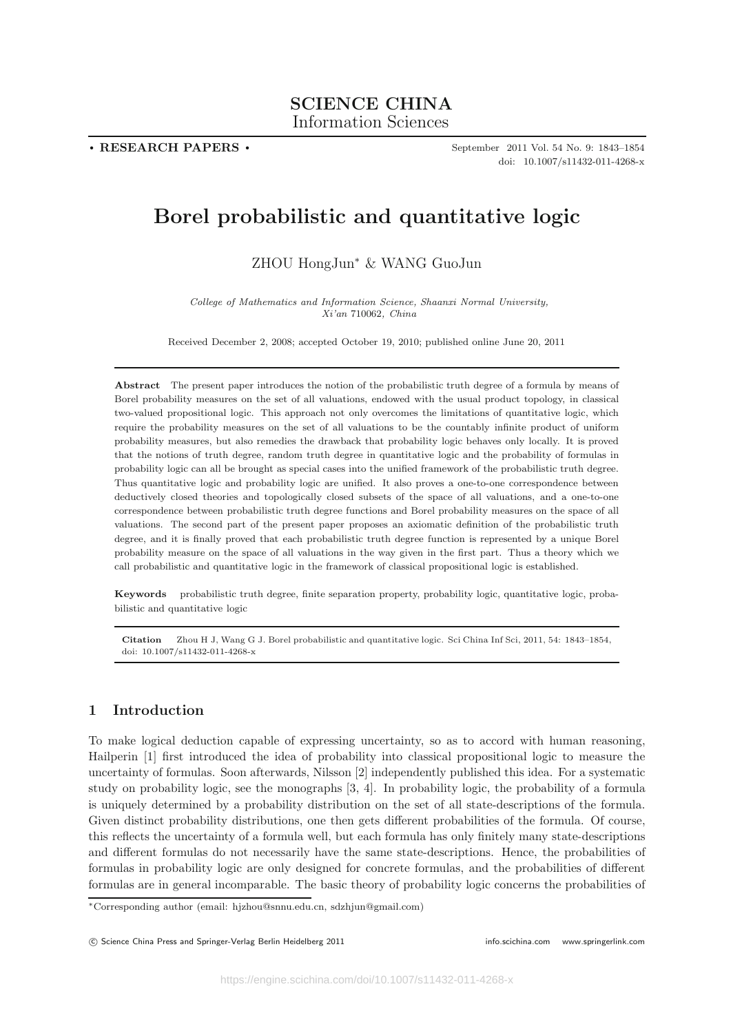## **SCIENCE CHINA** Information Sciences Information Sciences

**. RESEARCH PAPERS .**

September 2011 Vol. 54 No. 9: 1843–1854 doi: 10.1007/s11432-011-4268-x

## **Borel probabilistic and quantitative logic**

ZHOU HongJun<sup>∗</sup> & WANG GuoJun

*College of Mathematics and Information Science, Shaanxi Normal University, Xi'an* 710062*, China*

Received December 2, 2008; accepted October 19, 2010; published online June 20, 2011

**Abstract** The present paper introduces the notion of the probabilistic truth degree of a formula by means of Borel probability measures on the set of all valuations, endowed with the usual product topology, in classical two-valued propositional logic. This approach not only overcomes the limitations of quantitative logic, which require the probability measures on the set of all valuations to be the countably infinite product of uniform probability measures, but also remedies the drawback that probability logic behaves only locally. It is proved that the notions of truth degree, random truth degree in quantitative logic and the probability of formulas in probability logic can all be brought as special cases into the unified framework of the probabilistic truth degree. Thus quantitative logic and probability logic are unified. It also proves a one-to-one correspondence between deductively closed theories and topologically closed subsets of the space of all valuations, and a one-to-one correspondence between probabilistic truth degree functions and Borel probability measures on the space of all valuations. The second part of the present paper proposes an axiomatic definition of the probabilistic truth degree, and it is finally proved that each probabilistic truth degree function is represented by a unique Borel probability measure on the space of all valuations in the way given in the first part. Thus a theory which we call probabilistic and quantitative logic in the framework of classical propositional logic is established.

**Keywords** probabilistic truth degree, finite separation property, probability logic, quantitative logic, probabilistic and quantitative logic

**Citation** Zhou H J, Wang G J. Borel probabilistic and quantitative logic. Sci China Inf Sci, 2011, 54: 1843–1854, doi: 10.1007/s11432-011-4268-x

#### **1 Introduction**

To make logical deduction capable of expressing uncertainty, so as to accord with human reasoning, Hailperin [1] first introduced the idea of probability into classical propositional logic to measure the uncertainty of formulas. Soon afterwards, Nilsson [2] independently published this idea. For a systematic study on probability logic, see the monographs [3, 4]. In probability logic, the probability of a formula is uniquely determined by a probability distribution on the set of all state-descriptions of the formula. Given distinct probability distributions, one then gets different probabilities of the formula. Of course, this reflects the uncertainty of a formula well, but each formula has only finitely many state-descriptions and different formulas do not necessarily have the same state-descriptions. Hence, the probabilities of formulas in probability logic are only designed for concrete formulas, and the probabilities of different formulas are in general incomparable. The basic theory of probability logic concerns the probabilities of

<sup>∗</sup>Corresponding author (email: hjzhou@snnu.edu.cn, sdzhjun@gmail.com)

<sup>©</sup> Science China Press and Springer-Verlag Berlin Heidelberg 2011 **info.scichina.com** www.springerlink.com www.springerlink.com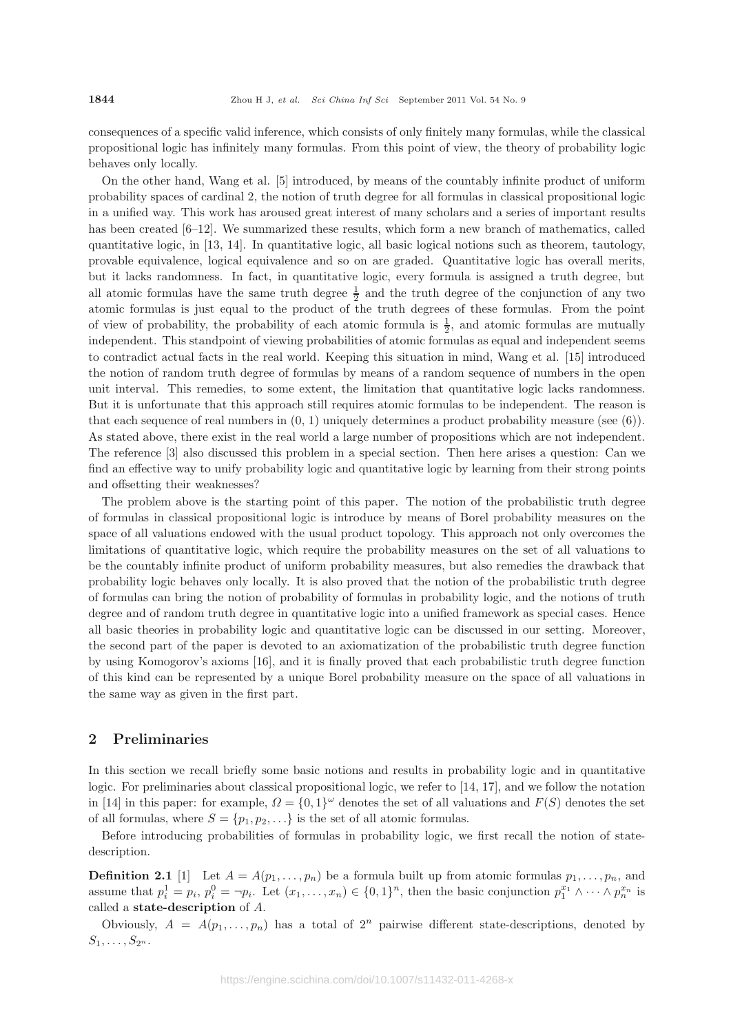consequences of a specific valid inference, which consists of only finitely many formulas, while the classical propositional logic has infinitely many formulas. From this point of view, the theory of probability logic behaves only locally.

On the other hand, Wang et al. [5] introduced, by means of the countably infinite product of uniform probability spaces of cardinal 2, the notion of truth degree for all formulas in classical propositional logic in a unified way. This work has aroused great interest of many scholars and a series of important results has been created [6–12]. We summarized these results, which form a new branch of mathematics, called quantitative logic, in [13, 14]. In quantitative logic, all basic logical notions such as theorem, tautology, provable equivalence, logical equivalence and so on are graded. Quantitative logic has overall merits, but it lacks randomness. In fact, in quantitative logic, every formula is assigned a truth degree, but all atomic formulas have the same truth degree  $\frac{1}{2}$  and the truth degree of the conjunction of any two atomic formulas is just equal to the product of the truth degrees of these formulas. From the point of view of probability, the probability of each atomic formula is  $\frac{1}{2}$ , and atomic formulas are mutually independent. This standpoint of viewing probabilities of atomic formulas as equal and independent seems to contradict actual facts in the real world. Keeping this situation in mind, Wang et al. [15] introduced the notion of random truth degree of formulas by means of a random sequence of numbers in the open unit interval. This remedies, to some extent, the limitation that quantitative logic lacks randomness. But it is unfortunate that this approach still requires atomic formulas to be independent. The reason is that each sequence of real numbers in  $(0, 1)$  uniquely determines a product probability measure (see  $(6)$ ). As stated above, there exist in the real world a large number of propositions which are not independent. The reference [3] also discussed this problem in a special section. Then here arises a question: Can we find an effective way to unify probability logic and quantitative logic by learning from their strong points and offsetting their weaknesses?

The problem above is the starting point of this paper. The notion of the probabilistic truth degree of formulas in classical propositional logic is introduce by means of Borel probability measures on the space of all valuations endowed with the usual product topology. This approach not only overcomes the limitations of quantitative logic, which require the probability measures on the set of all valuations to be the countably infinite product of uniform probability measures, but also remedies the drawback that probability logic behaves only locally. It is also proved that the notion of the probabilistic truth degree of formulas can bring the notion of probability of formulas in probability logic, and the notions of truth degree and of random truth degree in quantitative logic into a unified framework as special cases. Hence all basic theories in probability logic and quantitative logic can be discussed in our setting. Moreover, the second part of the paper is devoted to an axiomatization of the probabilistic truth degree function by using Komogorov's axioms [16], and it is finally proved that each probabilistic truth degree function of this kind can be represented by a unique Borel probability measure on the space of all valuations in the same way as given in the first part.

#### **2 Preliminaries**

In this section we recall briefly some basic notions and results in probability logic and in quantitative logic. For preliminaries about classical propositional logic, we refer to [14, 17], and we follow the notation in [14] in this paper: for example,  $\Omega = \{0,1\}^{\omega}$  denotes the set of all valuations and  $F(S)$  denotes the set of all formulas, where  $S = \{p_1, p_2, \ldots\}$  is the set of all atomic formulas.

Before introducing probabilities of formulas in probability logic, we first recall the notion of statedescription.

**Definition 2.1** [1] Let  $A = A(p_1, \ldots, p_n)$  be a formula built up from atomic formulas  $p_1, \ldots, p_n$ , and assume that  $p_i^1 = p_i$ ,  $p_i^0 = \neg p_i$ . Let  $(x_1, \ldots, x_n) \in \{0, 1\}^n$ , then the basic conjunction  $p_1^{x_1} \wedge \cdots \wedge p_n^{x_n}$  is called a **state-description** of A.

Obviously,  $A = A(p_1, \ldots, p_n)$  has a total of  $2^n$  pairwise different state-descriptions, denoted by  $S_1, \ldots, S_{2^n}$ .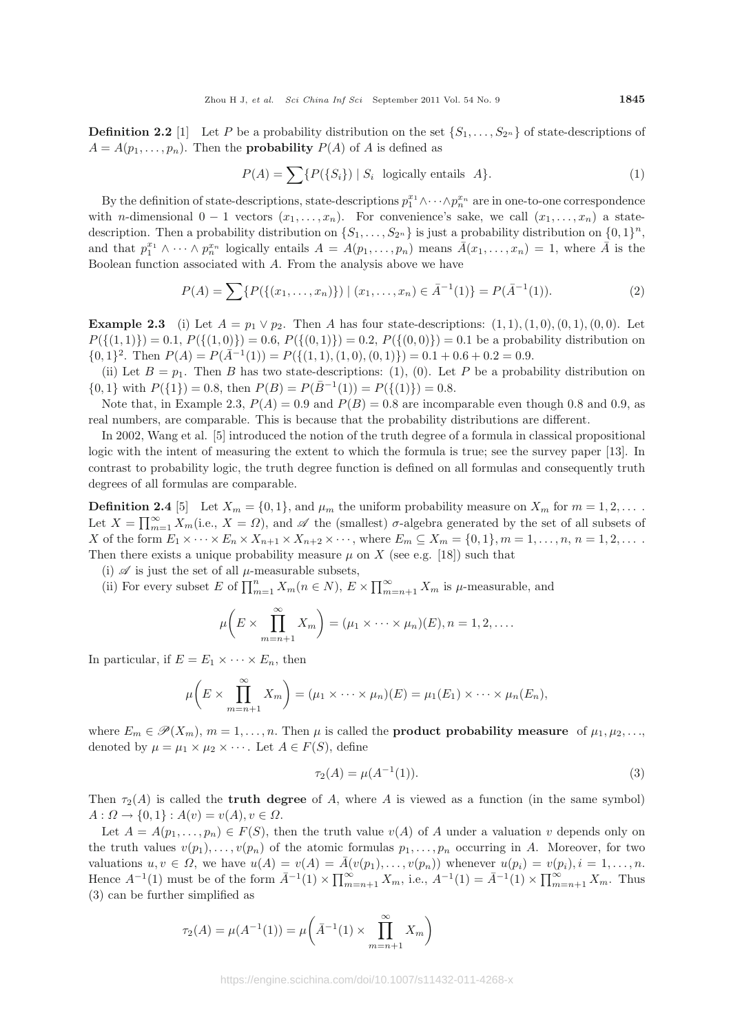**Definition 2.2** [1] Let P be a probability distribution on the set  $\{S_1,\ldots,S_{2^n}\}\)$  of state-descriptions of  $A = A(p_1, \ldots, p_n)$ . Then the **probability**  $P(A)$  of A is defined as

$$
P(A) = \sum \{ P(\{S_i\}) \mid S_i \text{ logically entails } A \}. \tag{1}
$$

By the definition of state-descriptions, state-descriptions  $p_1^{x_1} \wedge \cdots \wedge p_n^{x_n}$  are in one-to-one correspondence with n-dimensional  $0 - 1$  vectors  $(x_1, \ldots, x_n)$ . For convenience's sake, we call  $(x_1, \ldots, x_n)$  a statedescription. Then a probability distribution on  $\{S_1,\ldots,S_{2^n}\}$  is just a probability distribution on  $\{0,1\}^n$ , and that  $p_1^{x_1} \wedge \cdots \wedge p_n^{x_n}$  logically entails  $A = A(p_1, \ldots, p_n)$  means  $\overline{A}(x_1, \ldots, x_n) = 1$ , where  $\overline{A}$  is the Boolean function associated with A. From the analysis above we have

$$
P(A) = \sum \{ P(\{(x_1, \ldots, x_n)\}) \mid (x_1, \ldots, x_n) \in \bar{A}^{-1}(1) \} = P(\bar{A}^{-1}(1)).
$$
 (2)

**Example 2.3** (i) Let  $A = p_1 \vee p_2$ . Then A has four state-descriptions:  $(1, 1), (1, 0), (0, 1), (0, 0)$ . Let  $P({(1, 1)})=0.1, P({(1, 0)})=0.6, P({(0, 1)})=0.2, P({(0, 0)})=0.1$  be a probability distribution on  $\{0,1\}^2$ . Then  $P(A) = P(\bar{A}^{-1}(1)) = P(\{(1,1), (1,0), (0,1)\}) = 0.1 + 0.6 + 0.2 = 0.9$ .

(ii) Let  $B = p_1$ . Then B has two state-descriptions: (1), (0). Let P be a probability distribution on  $\{0, 1\}$  with  $P({1})=0.8$ , then  $P(B) = P(\bar{B}^{-1}(1)) = P({(1)})=0.8$ .

Note that, in Example 2.3,  $P(A)=0.9$  and  $P(B)=0.8$  are incomparable even though 0.8 and 0.9, as real numbers, are comparable. This is because that the probability distributions are different.

In 2002, Wang et al. [5] introduced the notion of the truth degree of a formula in classical propositional logic with the intent of measuring the extent to which the formula is true; see the survey paper [13]. In contrast to probability logic, the truth degree function is defined on all formulas and consequently truth degrees of all formulas are comparable.

**Definition 2.4** [5] Let  $X_m = \{0, 1\}$ , and  $\mu_m$  the uniform probability measure on  $X_m$  for  $m = 1, 2, \ldots$ . Let  $X = \prod_{m=1}^{\infty} X_m$ (i.e.,  $X = \Omega$ ), and  $\mathscr A$  the (smallest)  $\sigma$ -algebra generated by the set of all subsets of X of the form  $E_1 \times \cdots \times E_n \times X_{n+1} \times X_{n+2} \times \cdots$ , where  $E_m \subseteq X_m = \{0,1\}$ ,  $m = 1,\ldots,n$ ,  $n = 1,2,\ldots$ . Then there exists a unique probability measure  $\mu$  on X (see e.g. [18]) such that

- (i)  $\mathscr A$  is just the set of all  $\mu$ -measurable subsets,
- (ii) For every subset E of  $\prod_{m=1}^{n} X_m (n \in N)$ ,  $E \times \prod_{m=n+1}^{\infty} X_m$  is  $\mu$ -measurable, and

$$
\mu\bigg(E\times\prod_{m=n+1}^{\infty}X_m\bigg)=(\mu_1\times\cdots\times\mu_n)(E), n=1,2,\ldots.
$$

In particular, if  $E = E_1 \times \cdots \times E_n$ , then

$$
\mu\bigg(E\times\prod_{m=n+1}^{\infty}X_m\bigg)=(\mu_1\times\cdots\times\mu_n)(E)=\mu_1(E_1)\times\cdots\times\mu_n(E_n),
$$

where  $E_m \in \mathcal{P}(X_m)$ ,  $m = 1, \ldots, n$ . Then  $\mu$  is called the **product probability measure** of  $\mu_1, \mu_2, \ldots$ , denoted by  $\mu = \mu_1 \times \mu_2 \times \cdots$ . Let  $A \in F(S)$ , define

$$
\tau_2(A) = \mu(A^{-1}(1)).\tag{3}
$$

Then  $\tau_2(A)$  is called the **truth degree** of A, where A is viewed as a function (in the same symbol)  $A: \Omega \to \{0, 1\} : A(v) = v(A), v \in \Omega.$ 

Let  $A = A(p_1, \ldots, p_n) \in F(S)$ , then the truth value  $v(A)$  of A under a valuation v depends only on the truth values  $v(p_1),\ldots,v(p_n)$  of the atomic formulas  $p_1,\ldots,p_n$  occurring in A. Moreover, for two valuations  $u, v \in \Omega$ , we have  $u(A) = v(A) = \overline{A}(v(p_1), \ldots, v(p_n))$  whenever  $u(p_i) = v(p_i), i = 1, \ldots, n$ . Hence  $A^{-1}(1)$  must be of the form  $\bar{A}^{-1}(1) \times \prod_{m=n+1}^{\infty} X_m$ , i.e.,  $A^{-1}(1) = \bar{A}^{-1}(1) \times \prod_{m=n+1}^{\infty} X_m$ . Thus (3) can be further simplified as

$$
\tau_2(A) = \mu(A^{-1}(1)) = \mu\left(\bar{A}^{-1}(1) \times \prod_{m=n+1}^{\infty} X_m\right)
$$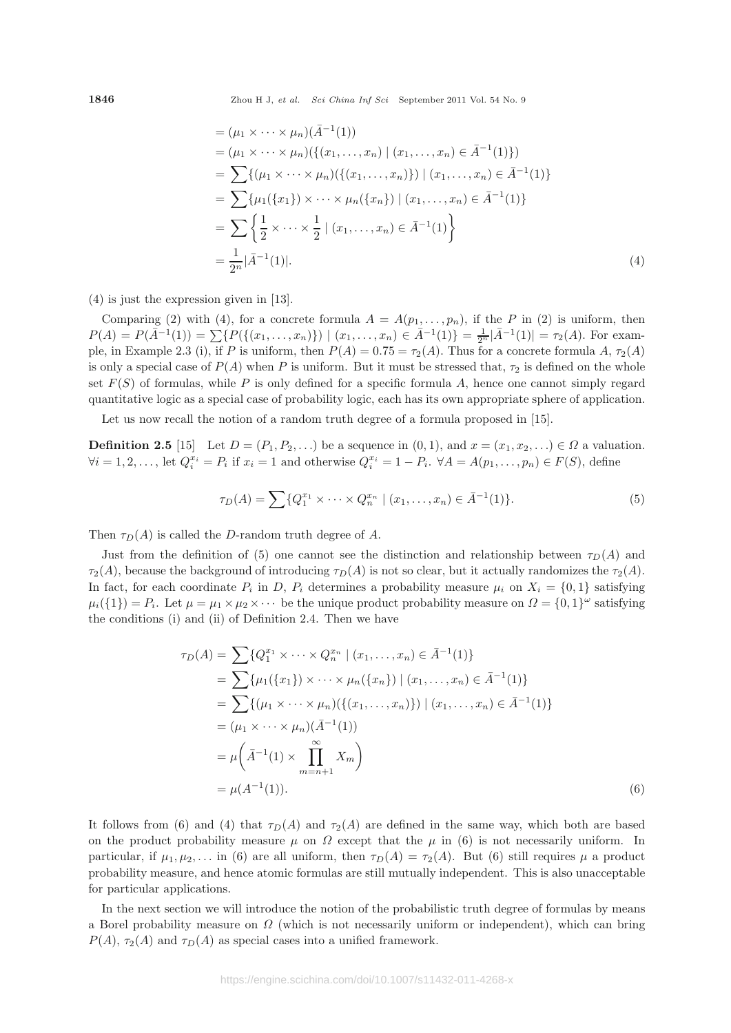$$
= (\mu_1 \times \cdots \times \mu_n)(\bar{A}^{-1}(1))
$$
  
\n
$$
= (\mu_1 \times \cdots \times \mu_n)(\{(x_1, \ldots, x_n) \mid (x_1, \ldots, x_n) \in \bar{A}^{-1}(1)\})
$$
  
\n
$$
= \sum \{(\mu_1 \times \cdots \times \mu_n)(\{(x_1, \ldots, x_n)\}) \mid (x_1, \ldots, x_n) \in \bar{A}^{-1}(1)\}
$$
  
\n
$$
= \sum \{\mu_1(\{x_1\}) \times \cdots \times \mu_n(\{x_n\}) \mid (x_1, \ldots, x_n) \in \bar{A}^{-1}(1)\}
$$
  
\n
$$
= \sum \left\{\frac{1}{2} \times \cdots \times \frac{1}{2} \mid (x_1, \ldots, x_n) \in \bar{A}^{-1}(1)\right\}
$$
  
\n
$$
= \frac{1}{2^n} |\bar{A}^{-1}(1)|.
$$
 (4)

(4) is just the expression given in [13].

Comparing (2) with (4), for a concrete formula  $A = A(p_1, \ldots, p_n)$ , if the P in (2) is uniform, then  $P(A) = P(\bar{A}^{-1}(1)) = \sum \{P(\{(x_1, \ldots, x_n)\}) \mid (x_1, \ldots, x_n) \in \bar{A}^{-1}(1)\} = \frac{1}{2^n} |\bar{A}^{-1}(1)| = \tau_2(A)$ . For example, in Example 2.3 (i), if P is uniform, then  $P(A)=0.75 = \tau_2(A)$ . Thus for a concrete formula A,  $\tau_2(A)$ is only a special case of  $P(A)$  when P is uniform. But it must be stressed that,  $\tau_2$  is defined on the whole set  $F(S)$  of formulas, while P is only defined for a specific formula A, hence one cannot simply regard quantitative logic as a special case of probability logic, each has its own appropriate sphere of application.

Let us now recall the notion of a random truth degree of a formula proposed in [15].

**Definition 2.5** [15] Let  $D = (P_1, P_2, \ldots)$  be a sequence in  $(0, 1)$ , and  $x = (x_1, x_2, \ldots) \in \Omega$  a valuation.  $\forall i = 1, 2, \ldots, \text{ let } Q_i^{x_i} = P_i \text{ if } x_i = 1 \text{ and otherwise } Q_i^{x_i} = 1 - P_i. \ \forall A = A(p_1, \ldots, p_n) \in F(S), \text{ define } \{ \forall i = 1, 2, \ldots, \exists i \in I \}$ 

$$
\tau_D(A) = \sum \{ Q_1^{x_1} \times \dots \times Q_n^{x_n} \mid (x_1, \dots, x_n) \in \bar{A}^{-1}(1) \}. \tag{5}
$$

Then  $\tau_D(A)$  is called the D-random truth degree of A.

Just from the definition of (5) one cannot see the distinction and relationship between  $\tau_D(A)$  and  $\tau_2(A)$ , because the background of introducing  $\tau_D(A)$  is not so clear, but it actually randomizes the  $\tau_2(A)$ . In fact, for each coordinate  $P_i$  in D,  $P_i$  determines a probability measure  $\mu_i$  on  $X_i = \{0, 1\}$  satisfying  $\mu_i({1}) = P_i$ . Let  $\mu = \mu_1 \times \mu_2 \times \cdots$  be the unique product probability measure on  $\Omega = \{0,1\}^{\omega}$  satisfying the conditions (i) and (ii) of Definition 2.4. Then we have

$$
\tau_D(A) = \sum \{ Q_1^{x_1} \times \cdots \times Q_n^{x_n} \mid (x_1, \ldots, x_n) \in \bar{A}^{-1}(1) \}
$$
  
\n
$$
= \sum \{ \mu_1(\{x_1\}) \times \cdots \times \mu_n(\{x_n\}) \mid (x_1, \ldots, x_n) \in \bar{A}^{-1}(1) \}
$$
  
\n
$$
= \sum \{ (\mu_1 \times \cdots \times \mu_n) (\{ (x_1, \ldots, x_n) \}) \mid (x_1, \ldots, x_n) \in \bar{A}^{-1}(1) \}
$$
  
\n
$$
= (\mu_1 \times \cdots \times \mu_n) (\bar{A}^{-1}(1))
$$
  
\n
$$
= \mu \left( \bar{A}^{-1}(1) \times \prod_{m=n+1}^{\infty} X_m \right)
$$
  
\n
$$
= \mu(A^{-1}(1)). \tag{6}
$$

It follows from (6) and (4) that  $\tau_D(A)$  and  $\tau_2(A)$  are defined in the same way, which both are based on the product probability measure  $\mu$  on  $\Omega$  except that the  $\mu$  in (6) is not necessarily uniform. In particular, if  $\mu_1, \mu_2,...$  in (6) are all uniform, then  $\tau_D(A) = \tau_2(A)$ . But (6) still requires  $\mu$  a product probability measure, and hence atomic formulas are still mutually independent. This is also unacceptable for particular applications.

In the next section we will introduce the notion of the probabilistic truth degree of formulas by means a Borel probability measure on  $\Omega$  (which is not necessarily uniform or independent), which can bring  $P(A)$ ,  $\tau_2(A)$  and  $\tau_D(A)$  as special cases into a unified framework.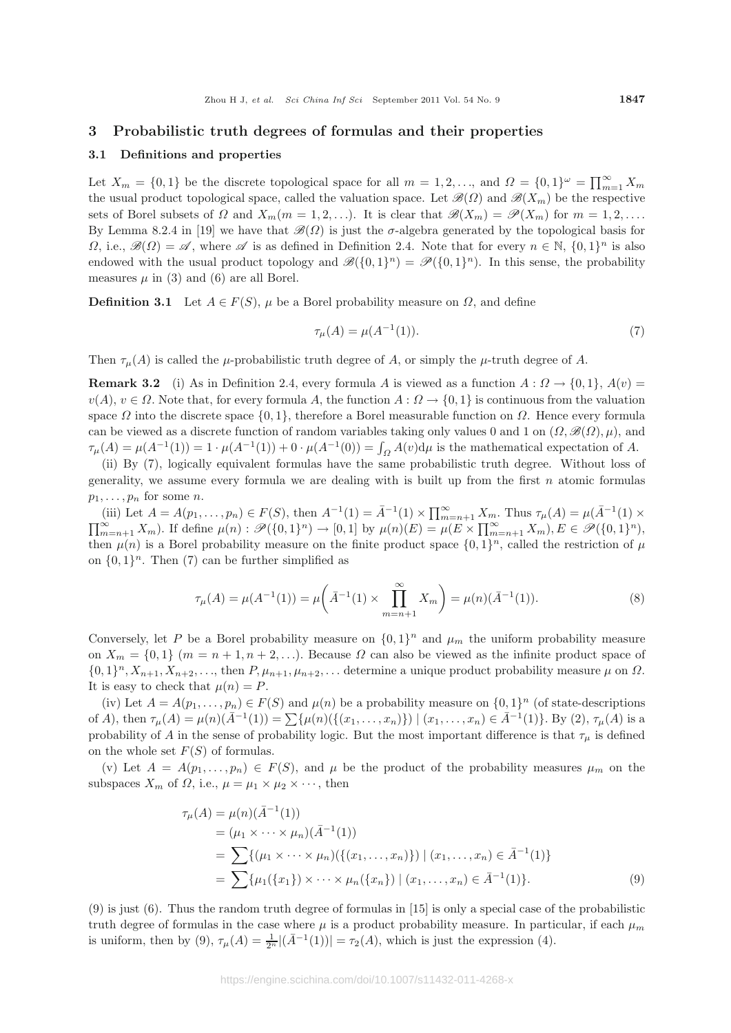#### **3 Probabilistic truth degrees of formulas and their properties**

#### **3.1 Definitions and properties**

Let  $X_m = \{0,1\}$  be the discrete topological space for all  $m = 1, 2, \ldots$ , and  $\Omega = \{0,1\}^\omega = \prod_{m=1}^\infty X_m$ the usual product topological space, called the valuation space. Let  $\mathscr{B}(\Omega)$  and  $\mathscr{B}(X_m)$  be the respective sets of Borel subsets of  $\Omega$  and  $X_m(m = 1, 2, \ldots)$ . It is clear that  $\mathscr{B}(X_m) = \mathscr{P}(X_m)$  for  $m = 1, 2, \ldots$ . By Lemma 8.2.4 in [19] we have that  $\mathscr{B}(\Omega)$  is just the  $\sigma$ -algebra generated by the topological basis for  $\Omega$ , i.e.,  $\mathscr{B}(\Omega) = \mathscr{A}$ , where  $\mathscr{A}$  is as defined in Definition 2.4. Note that for every  $n \in \mathbb{N}$ ,  $\{0,1\}^n$  is also endowed with the usual product topology and  $\mathscr{B}(\{0,1\}^n) = \mathscr{P}(\{0,1\}^n)$ . In this sense, the probability measures  $\mu$  in (3) and (6) are all Borel.

**Definition 3.1** Let  $A \in F(S)$ ,  $\mu$  be a Borel probability measure on  $\Omega$ , and define

$$
\tau_{\mu}(A) = \mu(A^{-1}(1)).\tag{7}
$$

Then  $\tau_{\mu}(A)$  is called the  $\mu$ -probabilistic truth degree of A, or simply the  $\mu$ -truth degree of A.

**Remark 3.2** (i) As in Definition 2.4, every formula A is viewed as a function  $A: \Omega \to \{0,1\}$ ,  $A(v)$  $v(A), v \in \Omega$ . Note that, for every formula A, the function  $A: \Omega \to \{0,1\}$  is continuous from the valuation space  $\Omega$  into the discrete space  $\{0, 1\}$ , therefore a Borel measurable function on  $\Omega$ . Hence every formula can be viewed as a discrete function of random variables taking only values 0 and 1 on  $(\Omega, \mathcal{B}(\Omega), \mu)$ , and  $\tau_{\mu}(A) = \mu(A^{-1}(1)) = 1 \cdot \mu(A^{-1}(1)) + 0 \cdot \mu(A^{-1}(0)) = \int_{\Omega} A(v) d\mu$  is the mathematical expectation of A.

(ii) By (7), logically equivalent formulas have the same probabilistic truth degree. Without loss of generality, we assume every formula we are dealing with is built up from the first  $n$  atomic formulas  $p_1, \ldots, p_n$  for some *n*.

(iii) Let  $A = A(p_1, ..., p_n) \in F(S)$ , then  $A^{-1}(1) = \overline{A}^{-1}(1) \times \prod_{m=n+1}^{\infty} X_m$ . Thus  $\tau_{\mu}(A) = \mu(\overline{A}^{-1}(1) \times \prod_{m=n+1}^{\infty} X_m)$  $\prod_{m=n+1}^{\infty} X_m$ ). If define  $\mu(n) : \mathscr{P}(\{0,1\}^n) \to [0,1]$  by  $\mu(n)(E) = \mu(E \times \prod_{m=n+1}^{\infty} X_m)$ ,  $E \in \mathscr{P}(\{0,1\}^n)$ , then  $\mu(n)$  is a Borel probability measure on the finite product space  $\{0, 1\}^n$ , called the restriction of  $\mu$ on  $\{0,1\}^n$ . Then (7) can be further simplified as

$$
\tau_{\mu}(A) = \mu(A^{-1}(1)) = \mu\left(\bar{A}^{-1}(1) \times \prod_{m=n+1}^{\infty} X_m\right) = \mu(n)(\bar{A}^{-1}(1)).
$$
\n(8)

Conversely, let P be a Borel probability measure on  $\{0,1\}^n$  and  $\mu_m$  the uniform probability measure on  $X_m = \{0,1\}$   $(m = n + 1, n + 2,...)$ . Because  $\Omega$  can also be viewed as the infinite product space of  $\{0,1\}^n, X_{n+1}, X_{n+2},\ldots$ , then  $P, \mu_{n+1}, \mu_{n+2},\ldots$  determine a unique product probability measure  $\mu$  on  $\Omega$ . It is easy to check that  $\mu(n) = P$ .

(iv) Let  $A = A(p_1,...,p_n) \in F(S)$  and  $\mu(n)$  be a probability measure on  $\{0,1\}^n$  (of state-descriptions of A), then  $\tau_{\mu}(A) = \mu(n)(\bar{A}^{-1}(1)) = \sum \{ \mu(n)(\{(x_1,\ldots,x_n)\}) \mid (x_1,\ldots,x_n) \in \bar{A}^{-1}(1)\}$ . By (2),  $\tau_{\mu}(A)$  is a probability of A in the sense of probability logic. But the most important difference is that  $\tau_{\mu}$  is defined on the whole set  $F(S)$  of formulas.

(v) Let  $A = A(p_1,...,p_n) \in F(S)$ , and  $\mu$  be the product of the probability measures  $\mu_m$  on the subspaces  $X_m$  of  $\Omega$ , i.e.,  $\mu = \mu_1 \times \mu_2 \times \cdots$ , then

$$
\tau_{\mu}(A) = \mu(n)(\bar{A}^{-1}(1))
$$
  
=  $(\mu_1 \times \cdots \times \mu_n)(\bar{A}^{-1}(1))$   
=  $\sum \{(\mu_1 \times \cdots \times \mu_n)(\{(x_1, \ldots, x_n)\}) \mid (x_1, \ldots, x_n) \in \bar{A}^{-1}(1)\}$   
=  $\sum \{\mu_1(\{x_1\}) \times \cdots \times \mu_n(\{x_n\}) \mid (x_1, \ldots, x_n) \in \bar{A}^{-1}(1)\}.$  (9)

(9) is just (6). Thus the random truth degree of formulas in [15] is only a special case of the probabilistic truth degree of formulas in the case where  $\mu$  is a product probability measure. In particular, if each  $\mu_m$ is uniform, then by (9),  $\tau_{\mu}(A) = \frac{1}{2^n} |(\bar{A}^{-1}(1))| = \tau_2(A)$ , which is just the expression (4).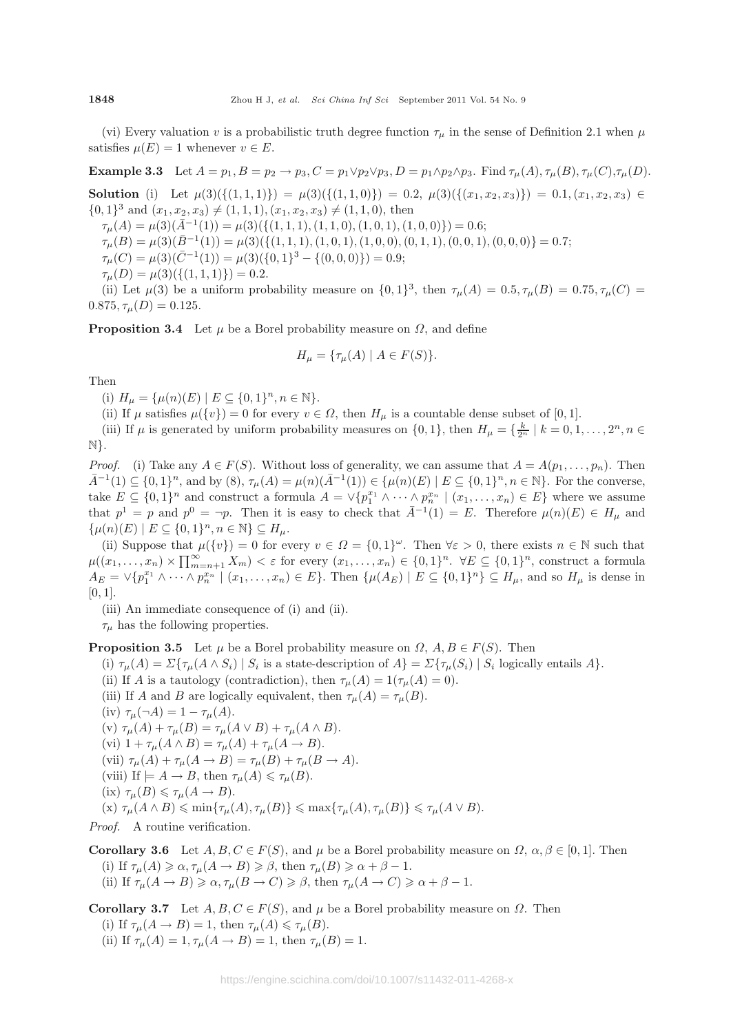(vi) Every valuation v is a probabilistic truth degree function  $\tau_{\mu}$  in the sense of Definition 2.1 when  $\mu$ satisfies  $\mu(E) = 1$  whenever  $v \in E$ .

**Example 3.3** Let  $A = p_1, B = p_2 \rightarrow p_3, C = p_1 \vee p_2 \vee p_3, D = p_1 \wedge p_2 \wedge p_3$ . Find  $\tau_\mu(A), \tau_\mu(B), \tau_\mu(C), \tau_\mu(D)$ .

**Solution** (i) Let  $\mu(3)(\{(1,1,1)\}) = \mu(3)(\{(1,1,0)\}) = 0.2, \ \mu(3)(\{(x_1,x_2,x_3)\}) = 0.1, (x_1,x_2,x_3) \in$  $\{0,1\}^3$  and  $(x_1, x_2, x_3) \neq (1, 1, 1), (x_1, x_2, x_3) \neq (1, 1, 0)$ , then

 $\tau_{\mu}(A) = \mu(3)(\bar{A}^{-1}(1)) = \mu(3)(\{(1, 1, 1), (1, 1, 0), (1, 0, 1), (1, 0, 0)\}) = 0.6;$ 

 $\tau_{\mu}(B) = \mu(3)(\bar{B}^{-1}(1)) = \mu(3)(\{(1, 1, 1), (1, 0, 1), (1, 0, 0), (0, 1, 1), (0, 0, 1), (0, 0, 0)\} = 0.7;$ 

 $\tau_{\mu}(C) = \mu(3)(\bar{C}^{-1}(1)) = \mu(3)(\{0, 1\}^3 - \{(0, 0, 0)\}) = 0.9;$ 

$$
\tau_{\mu}(D) = \mu(3)(\{(1, 1, 1)\}) = 0.2.
$$

(ii) Let  $\mu(3)$  be a uniform probability measure on  $\{0,1\}^3$ , then  $\tau_{\mu}(A)=0.5, \tau_{\mu}(B)=0.75, \tau_{\mu}(C)=0.75$  $0.875, \tau_{\mu}(D)=0.125.$ 

**Proposition 3.4** Let  $\mu$  be a Borel probability measure on  $\Omega$ , and define

$$
H_{\mu} = \{ \tau_{\mu}(A) \mid A \in F(S) \}.
$$

Then

(i)  $H_{\mu} = {\mu(n)(E) | E \subseteq {0,1}^n, n \in \mathbb{N}}.$ 

(ii) If  $\mu$  satisfies  $\mu({v}) = 0$  for every  $v \in \Omega$ , then  $H_{\mu}$  is a countable dense subset of [0, 1].

(iii) If  $\mu$  is generated by uniform probability measures on  $\{0, 1\}$ , then  $H_{\mu} = \{\frac{k}{2^n} \mid k = 0, 1, ..., 2^n, n \in$ N}.

*Proof.* (i) Take any  $A \in F(S)$ . Without loss of generality, we can assume that  $A = A(p_1, \ldots, p_n)$ . Then  $\bar{A}^{-1}(1) \subseteq \{0,1\}^n$ , and by  $(8), \tau_\mu(A) = \mu(n)(\bar{A}^{-1}(1)) \in \{\mu(n)(E) \mid E \subseteq \{0,1\}^n, n \in \mathbb{N}\}.$  For the converse, take  $E \subseteq \{0,1\}^n$  and construct a formula  $A = \vee \{p_1^{x_1} \wedge \cdots \wedge p_n^{x_n} \mid (x_1,\ldots,x_n) \in E\}$  where we assume that  $p^1 = p$  and  $p^0 = \neg p$ . Then it is easy to check that  $\overline{A}^{-1}(1) = E$ . Therefore  $\mu(n)(E) \in H_\mu$  and  $\{\mu(n)(E) \mid E \subseteq \{0,1\}^n, n \in \mathbb{N}\} \subseteq H_\mu.$ 

(ii) Suppose that  $\mu({v}) = 0$  for every  $v \in \Omega = {0,1}^{\omega}$ . Then  $\forall \varepsilon > 0$ , there exists  $n \in \mathbb{N}$  such that  $\mu((x_1,\ldots,x_n)\times\prod_{m=n+1}^{\infty}X_m)<\varepsilon$  for every  $(x_1,\ldots,x_n)\in\{0,1\}^n$ .  $\forall E\subseteq\{0,1\}^n$ , construct a formula  $A_E = \vee \{p_1^{x_1} \wedge \cdots \wedge p_n^{x_n} \mid (x_1, \ldots, x_n) \in E\}$ . Then  $\{\mu(A_E) \mid E \subseteq \{0,1\}^n\} \subseteq H_\mu$ , and so  $H_\mu$  is dense in  $[0, 1]$ .

(iii) An immediate consequence of (i) and (ii).

 $\tau_{\mu}$  has the following properties.

**Proposition 3.5** Let  $\mu$  be a Borel probability measure on  $\Omega$ ,  $A, B \in F(S)$ . Then

(i)  $\tau_{\mu}(A) = \Sigma \{ \tau_{\mu}(A \wedge S_i) \mid S_i \text{ is a state-description of } A \} = \Sigma \{ \tau_{\mu}(S_i) \mid S_i \text{ logically entails } A \}.$ 

(ii) If A is a tautology (contradiction), then  $\tau_\mu(A) = 1(\tau_\mu(A) = 0)$ .

- (iii) If A and B are logically equivalent, then  $\tau_{\mu}(A) = \tau_{\mu}(B)$ .
- (iv)  $\tau_{\mu}(\neg A)=1-\tau_{\mu}(A)$ .

(v)  $\tau_{\mu}(A) + \tau_{\mu}(B) = \tau_{\mu}(A \vee B) + \tau_{\mu}(A \wedge B).$ (vi)  $1 + \tau_\mu(A \wedge B) = \tau_\mu(A) + \tau_\mu(A \rightarrow B).$ (vii)  $\tau_{\mu}(A) + \tau_{\mu}(A \rightarrow B) = \tau_{\mu}(B) + \tau_{\mu}(B \rightarrow A).$ (viii) If  $\models A \rightarrow B$ , then  $\tau_{\mu}(A) \leq \tau_{\mu}(B)$ . (ix)  $\tau_{\mu}(B) \leq \tau_{\mu}(A \to B)$ .  $(\textbf{x}) \tau_{\mu}(A \wedge B) \leqslant \min\{\tau_{\mu}(A), \tau_{\mu}(B)\} \leqslant \max\{\tau_{\mu}(A), \tau_{\mu}(B)\} \leqslant \tau_{\mu}(A \vee B).$ 

*Proof.* A routine verification.

**Corollary 3.6** Let  $A, B, C \in F(S)$ , and  $\mu$  be a Borel probability measure on  $\Omega$ ,  $\alpha, \beta \in [0, 1]$ . Then (i) If  $\tau_{\mu}(A) \geq \alpha$ ,  $\tau_{\mu}(A \rightarrow B) \geq \beta$ , then  $\tau_{\mu}(B) \geq \alpha + \beta - 1$ . (ii) If  $\tau_{\mu}(A \to B) \ge \alpha$ ,  $\tau_{\mu}(B \to C) \ge \beta$ , then  $\tau_{\mu}(A \to C) \ge \alpha + \beta - 1$ .

**Corollary 3.7** Let  $A, B, C \in F(S)$ , and  $\mu$  be a Borel probability measure on  $\Omega$ . Then (i) If  $\tau_{\mu}(A \to B) = 1$ , then  $\tau_{\mu}(A) \le \tau_{\mu}(B)$ . (ii) If  $\tau_{\mu}(A) = 1, \tau_{\mu}(A \to B) = 1$ , then  $\tau_{\mu}(B) = 1$ .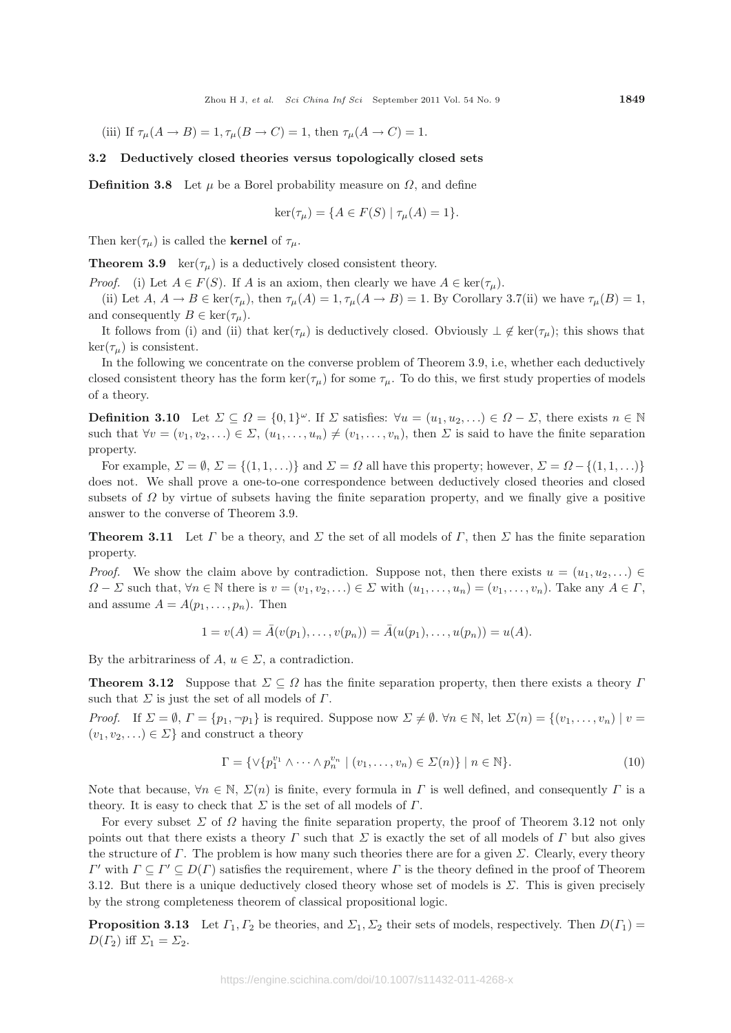(iii) If  $\tau_\mu(A \to B) = 1$ ,  $\tau_\mu(B \to C) = 1$ , then  $\tau_\mu(A \to C) = 1$ .

#### **3.2 Deductively closed theories versus topologically closed sets**

**Definition 3.8** Let  $\mu$  be a Borel probability measure on  $\Omega$ , and define

$$
ker(\tau_{\mu}) = \{ A \in F(S) \mid \tau_{\mu}(A) = 1 \}.
$$

Then ker( $\tau_{\mu}$ ) is called the **kernel** of  $\tau_{\mu}$ .

**Theorem 3.9** ker( $\tau_{\mu}$ ) is a deductively closed consistent theory.

*Proof.* (i) Let  $A \in F(S)$ . If A is an axiom, then clearly we have  $A \in \text{ker}(\tau_{\mu})$ .

(ii) Let  $A, A \to B \in \text{ker}(\tau_\mu)$ , then  $\tau_\mu(A) = 1, \tau_\mu(A \to B) = 1$ . By Corollary 3.7(ii) we have  $\tau_\mu(B) = 1$ , and consequently  $B \in \text{ker}(\tau_{\mu}).$ 

It follows from (i) and (ii) that ker( $\tau_{\mu}$ ) is deductively closed. Obviously  $\perp \notin \text{ker}(\tau_{\mu})$ ; this shows that  $\ker(\tau_{\mu})$  is consistent.

In the following we concentrate on the converse problem of Theorem 3.9, i.e, whether each deductively closed consistent theory has the form  $\ker(\tau_\mu)$  for some  $\tau_\mu$ . To do this, we first study properties of models of a theory.

**Definition 3.10** Let  $\Sigma \subseteq \Omega = \{0,1\}^\omega$ . If  $\Sigma$  satisfies:  $\forall u = (u_1, u_2, \ldots) \in \Omega - \Sigma$ , there exists  $n \in \mathbb{N}$ such that  $\forall v = (v_1, v_2, \ldots) \in \Sigma$ ,  $(u_1, \ldots, u_n) \neq (v_1, \ldots, v_n)$ , then  $\Sigma$  is said to have the finite separation property.

For example,  $\Sigma = \emptyset$ ,  $\Sigma = \{(1, 1, \ldots)\}\$ and  $\Sigma = \Omega$  all have this property; however,  $\Sigma = \Omega - \{(1, 1, \ldots)\}\$ does not. We shall prove a one-to-one correspondence between deductively closed theories and closed subsets of  $\Omega$  by virtue of subsets having the finite separation property, and we finally give a positive answer to the converse of Theorem 3.9.

**Theorem 3.11** Let  $\Gamma$  be a theory, and  $\Sigma$  the set of all models of  $\Gamma$ , then  $\Sigma$  has the finite separation property.

*Proof.* We show the claim above by contradiction. Suppose not, then there exists  $u = (u_1, u_2, \ldots) \in$  $\Omega - \Sigma$  such that,  $\forall n \in \mathbb{N}$  there is  $v = (v_1, v_2, \ldots) \in \Sigma$  with  $(u_1, \ldots, u_n) = (v_1, \ldots, v_n)$ . Take any  $A \in \Gamma$ , and assume  $A = A(p_1, \ldots, p_n)$ . Then

$$
1 = v(A) = \overline{A}(v(p_1), \dots, v(p_n)) = \overline{A}(u(p_1), \dots, u(p_n)) = u(A).
$$

By the arbitrariness of  $A, u \in \Sigma$ , a contradiction.

**Theorem 3.12** Suppose that  $\Sigma \subseteq \Omega$  has the finite separation property, then there exists a theory  $\Gamma$ such that  $\Sigma$  is just the set of all models of  $\Gamma$ .

*Proof.* If  $\Sigma = \emptyset$ ,  $\Gamma = \{p_1, \neg p_1\}$  is required. Suppose now  $\Sigma \neq \emptyset$ .  $\forall n \in \mathbb{N}$ , let  $\Sigma(n) = \{(v_1, \dots, v_n) \mid v =$  $(v_1, v_2,...) \in \Sigma$  and construct a theory

$$
\Gamma = \{ \vee \{ p_1^{v_1} \wedge \cdots \wedge p_n^{v_n} \mid (v_1, \ldots, v_n) \in \Sigma(n) \} \mid n \in \mathbb{N} \}. \tag{10}
$$

Note that because,  $\forall n \in \mathbb{N}, \Sigma(n)$  is finite, every formula in T is well defined, and consequently T is a theory. It is easy to check that  $\Sigma$  is the set of all models of  $\Gamma$ .

For every subset  $\Sigma$  of  $\Omega$  having the finite separation property, the proof of Theorem 3.12 not only points out that there exists a theory  $\Gamma$  such that  $\Sigma$  is exactly the set of all models of  $\Gamma$  but also gives the structure of Γ. The problem is how many such theories there are for a given  $\Sigma$ . Clearly, every theory  $\Gamma'$  with  $\Gamma \subset \Gamma' \subset D(\Gamma)$  satisfies the requirement, where Γ is the theory defined in the proof of Theorem 3.12. But there is a unique deductively closed theory whose set of models is  $\Sigma$ . This is given precisely by the strong completeness theorem of classical propositional logic.

**Proposition 3.13** Let  $\Gamma_1, \Gamma_2$  be theories, and  $\Sigma_1, \Sigma_2$  their sets of models, respectively. Then  $D(\Gamma_1)$  $D(\Gamma_2)$  iff  $\Sigma_1 = \Sigma_2$ .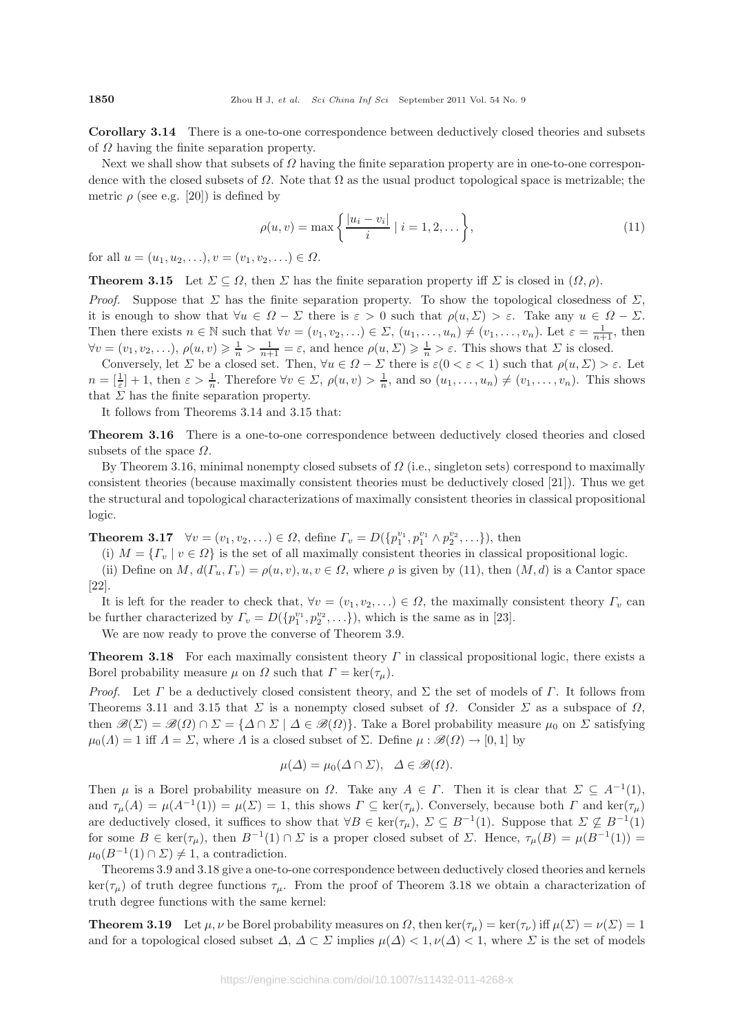**Corollary 3.14** There is a one-to-one correspondence between deductively closed theories and subsets of  $\Omega$  having the finite separation property.

Next we shall show that subsets of  $\Omega$  having the finite separation property are in one-to-one correspondence with the closed subsets of  $\Omega$ . Note that  $\Omega$  as the usual product topological space is metrizable; the metric  $\rho$  (see e.g. [20]) is defined by

$$
\rho(u, v) = \max\left\{\frac{|u_i - v_i|}{i} \mid i = 1, 2, \dots\right\},\tag{11}
$$

for all  $u = (u_1, u_2, \ldots), v = (v_1, v_2, \ldots) \in \Omega$ .

**Theorem 3.15** Let  $\Sigma \subseteq \Omega$ , then  $\Sigma$  has the finite separation property iff  $\Sigma$  is closed in  $(\Omega, \rho)$ .

*Proof.* Suppose that  $\Sigma$  has the finite separation property. To show the topological closedness of  $\Sigma$ , it is enough to show that  $\forall u \in \Omega - \Sigma$  there is  $\varepsilon > 0$  such that  $\rho(u, \Sigma) > \varepsilon$ . Take any  $u \in \Omega - \Sigma$ . Then there exists  $n \in \mathbb{N}$  such that  $\forall v = (v_1, v_2, \ldots) \in \Sigma$ ,  $(u_1, \ldots, u_n) \neq (v_1, \ldots, v_n)$ . Let  $\varepsilon = \frac{1}{n+1}$ , then  $\forall v = (v_1, v_2, \ldots), \, \rho(u, v) \geqslant \frac{1}{n} > \frac{1}{n+1} = \varepsilon$ , and hence  $\rho(u, \Sigma) \geqslant \frac{1}{n} > \varepsilon$ . This shows that  $\Sigma$  is closed.

Conversely, let  $\Sigma$  be a closed set. Then,  $\forall u \in \Omega - \Sigma$  there is  $\varepsilon(0 < \varepsilon < 1)$  such that  $\rho(u, \Sigma) > \varepsilon$ . Let  $n = \left[\frac{1}{\varepsilon}\right] + 1$ , then  $\varepsilon > \frac{1}{n}$ . Therefore  $\forall v \in \Sigma$ ,  $\rho(u, v) > \frac{1}{n}$ , and so  $(u_1, \ldots, u_n) \neq (v_1, \ldots, v_n)$ . This shows that  $\Sigma$  has the finite separation property.

It follows from Theorems 3.14 and 3.15 that:

**Theorem 3.16** There is a one-to-one correspondence between deductively closed theories and closed subsets of the space  $\Omega$ .

By Theorem 3.16, minimal nonempty closed subsets of  $\Omega$  (i.e., singleton sets) correspond to maximally consistent theories (because maximally consistent theories must be deductively closed [21]). Thus we get the structural and topological characterizations of maximally consistent theories in classical propositional logic.

**Theorem 3.17**  $\forall v = (v_1, v_2, \ldots) \in \Omega$ , define  $\Gamma_v = D(\{p_1^{v_1}, p_1^{v_1} \wedge p_2^{v_2}, \ldots\})$ , then

(i)  $M = \{ \Gamma_v \mid v \in \Omega \}$  is the set of all maximally consistent theories in classical propositional logic.

(ii) Define on M,  $d(\Gamma_u, \Gamma_v) = \rho(u, v), u, v \in \Omega$ , where  $\rho$  is given by (11), then  $(M, d)$  is a Cantor space [22].

It is left for the reader to check that,  $\forall v = (v_1, v_2, \ldots) \in \Omega$ , the maximally consistent theory  $\Gamma_v$  can be further characterized by  $\Gamma_v = D(\{p_1^{v_1}, p_2^{v_2}, \ldots\}),$  which is the same as in [23].

We are now ready to prove the converse of Theorem 3.9.

**Theorem 3.18** For each maximally consistent theory Γ in classical propositional logic, there exists a Borel probability measure  $\mu$  on  $\Omega$  such that  $\Gamma = \ker(\tau_{\mu})$ .

*Proof.* Let Γ be a deductively closed consistent theory, and Σ the set of models of Γ. It follows from Theorems 3.11 and 3.15 that  $\Sigma$  is a nonempty closed subset of  $\Omega$ . Consider  $\Sigma$  as a subspace of  $\Omega$ , then  $\mathscr{B}(\Sigma) = \mathscr{B}(\Omega) \cap \Sigma = {\{\Delta \cap \Sigma \mid \Delta \in \mathscr{B}(\Omega)\}}$ . Take a Borel probability measure  $\mu_0$  on  $\Sigma$  satisfying  $\mu_0(\Lambda) = 1$  iff  $\Lambda = \Sigma$ , where  $\Lambda$  is a closed subset of  $\Sigma$ . Define  $\mu : \mathscr{B}(\Omega) \to [0, 1]$  by

$$
\mu(\Delta) = \mu_0(\Delta \cap \Sigma), \quad \Delta \in \mathcal{B}(\Omega).
$$

Then  $\mu$  is a Borel probability measure on  $\Omega$ . Take any  $A \in \Gamma$ . Then it is clear that  $\Sigma \subseteq A^{-1}(1)$ , and  $\tau_{\mu}(A) = \mu(A^{-1}(1)) = \mu(\Sigma) = 1$ , this shows  $\Gamma \subseteq \text{ker}(\tau_{\mu})$ . Conversely, because both  $\Gamma$  and  $\text{ker}(\tau_{\mu})$ are deductively closed, it suffices to show that  $\forall B \in \text{ker}(\tau_{\mu})$ ,  $\Sigma \subseteq B^{-1}(1)$ . Suppose that  $\Sigma \nsubseteq B^{-1}(1)$ for some  $B \in \text{ker}(\tau_{\mu})$ , then  $B^{-1}(1) \cap \Sigma$  is a proper closed subset of  $\Sigma$ . Hence,  $\tau_{\mu}(B) = \mu(B^{-1}(1)) =$  $\mu_0(B^{-1}(1) \cap \Sigma) \neq 1$ , a contradiction.

Theorems 3.9 and 3.18 give a one-to-one correspondence between deductively closed theories and kernels  $\ker(\tau_\mu)$  of truth degree functions  $\tau_\mu$ . From the proof of Theorem 3.18 we obtain a characterization of truth degree functions with the same kernel:

**Theorem 3.19** Let  $\mu, \nu$  be Borel probability measures on  $\Omega$ , then ker( $\tau_{\mu}$ ) = ker( $\tau_{\nu}$ ) iff  $\mu(\Sigma) = \nu(\Sigma) = 1$ and for a topological closed subset  $\Delta$ ,  $\Delta \subset \Sigma$  implies  $\mu(\Delta) < 1, \nu(\Delta) < 1$ , where  $\Sigma$  is the set of models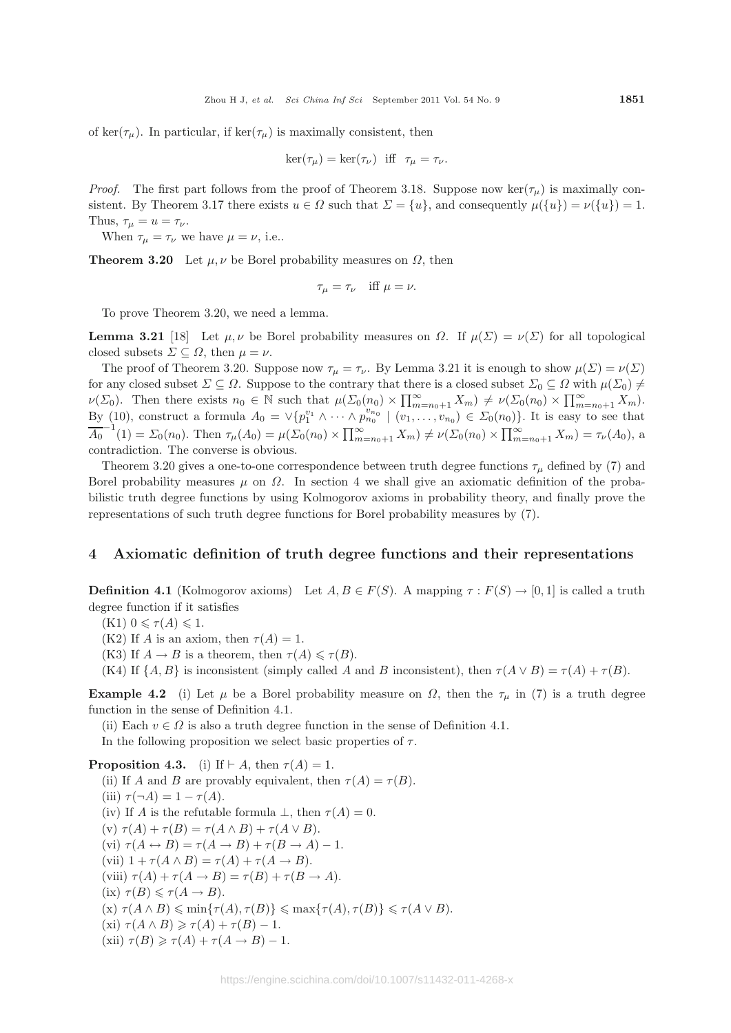of ker( $\tau_{\mu}$ ). In particular, if ker( $\tau_{\mu}$ ) is maximally consistent, then

$$
\ker(\tau_{\mu}) = \ker(\tau_{\nu}) \quad \text{iff} \quad \tau_{\mu} = \tau_{\nu}.
$$

*Proof.* The first part follows from the proof of Theorem 3.18. Suppose now  $\ker(\tau_u)$  is maximally consistent. By Theorem 3.17 there exists  $u \in \Omega$  such that  $\Sigma = \{u\}$ , and consequently  $\mu(\{u\}) = \nu(\{u\}) = 1$ . Thus,  $\tau_{\mu} = u = \tau_{\nu}$ .

When  $\tau_{\mu} = \tau_{\nu}$  we have  $\mu = \nu$ , i.e..

**Theorem 3.20** Let  $\mu, \nu$  be Borel probability measures on  $\Omega$ , then

$$
\tau_{\mu} = \tau_{\nu} \quad \text{iff } \mu = \nu.
$$

To prove Theorem 3.20, we need a lemma.

**Lemma 3.21** [18] Let  $\mu, \nu$  be Borel probability measures on  $\Omega$ . If  $\mu(\Sigma) = \nu(\Sigma)$  for all topological closed subsets  $\Sigma \subseteq \Omega$ , then  $\mu = \nu$ .

The proof of Theorem 3.20. Suppose now  $\tau_{\mu} = \tau_{\nu}$ . By Lemma 3.21 it is enough to show  $\mu(\Sigma) = \nu(\Sigma)$ for any closed subset  $\Sigma \subseteq \Omega$ . Suppose to the contrary that there is a closed subset  $\Sigma_0 \subseteq \Omega$  with  $\mu(\Sigma_0) \neq$  $\nu(\Sigma_0)$ . Then there exists  $n_0 \in \mathbb{N}$  such that  $\mu(\Sigma_0(n_0) \times \prod_{m=n_0+1}^{\infty} X_m) \neq \nu(\Sigma_0(n_0) \times \prod_{m=n_0+1}^{\infty} X_m)$ . By (10), construct a formula  $A_0 = \vee \{p_1^{v_1} \wedge \cdots \wedge p_{n_0}^{v_{n_0}} \mid (v_1, \ldots, v_{n_0}) \in \Sigma_0(n_0)\}\)$ . It is easy to see that  $\overline{A_0}^{-1}(1) = \Sigma_0(n_0)$ . Then  $\tau_\mu(A_0) = \mu(\Sigma_0(n_0) \times \prod_{m=n_0+1}^{\infty} X_m) \neq \nu(\Sigma_0(n_0) \times \prod_{m=n_0+1}^{\infty} X_m) = \tau_\nu(A_0)$ , a contradiction. The converse is obvious.

Theorem 3.20 gives a one-to-one correspondence between truth degree functions  $\tau_{\mu}$  defined by (7) and Borel probability measures  $\mu$  on  $\Omega$ . In section 4 we shall give an axiomatic definition of the probabilistic truth degree functions by using Kolmogorov axioms in probability theory, and finally prove the representations of such truth degree functions for Borel probability measures by (7).

#### **4 Axiomatic definition of truth degree functions and their representations**

**Definition 4.1** (Kolmogorov axioms) Let  $A, B \in F(S)$ . A mapping  $\tau : F(S) \to [0,1]$  is called a truth degree function if it satisfies

 $(K1)$   $0 \leqslant \tau(A) \leqslant 1$ .

(K2) If A is an axiom, then  $\tau(A) = 1$ .

(K3) If  $A \to B$  is a theorem, then  $\tau(A) \leq \tau(B)$ .

(K4) If  $\{A, B\}$  is inconsistent (simply called A and B inconsistent), then  $\tau(A \vee B) = \tau(A) + \tau(B)$ .

**Example 4.2** (i) Let  $\mu$  be a Borel probability measure on  $\Omega$ , then the  $\tau_{\mu}$  in (7) is a truth degree function in the sense of Definition 4.1.

(ii) Each  $v \in \Omega$  is also a truth degree function in the sense of Definition 4.1.

In the following proposition we select basic properties of  $\tau$ .

**Proposition 4.3.** (i) If  $\vdash A$ , then  $\tau(A) = 1$ . (ii) If A and B are provably equivalent, then  $\tau(A) = \tau(B)$ . (iii)  $\tau(\neg A)=1 - \tau(A)$ . (iv) If A is the refutable formula  $\bot$ , then  $\tau(A) = 0$ . (v)  $\tau(A) + \tau(B) = \tau(A \wedge B) + \tau(A \vee B).$ (vi)  $\tau(A \leftrightarrow B) = \tau(A \to B) + \tau(B \to A) - 1$ . (vii)  $1 + \tau(A \wedge B) = \tau(A) + \tau(A \rightarrow B)$ . (viii)  $\tau(A) + \tau(A \rightarrow B) = \tau(B) + \tau(B \rightarrow A).$ (ix)  $\tau(B) \leq \tau(A \to B)$ .  $(\textbf{x}) \ \tau(A \land B) \leqslant \min\{\tau(A), \tau(B)\} \leqslant \max\{\tau(A), \tau(B)\} \leqslant \tau(A \lor B).$ (xi)  $\tau(A \wedge B) \geq \tau(A) + \tau(B) - 1$ . (xii)  $\tau(B) \geq \tau(A) + \tau(A \rightarrow B) - 1$ .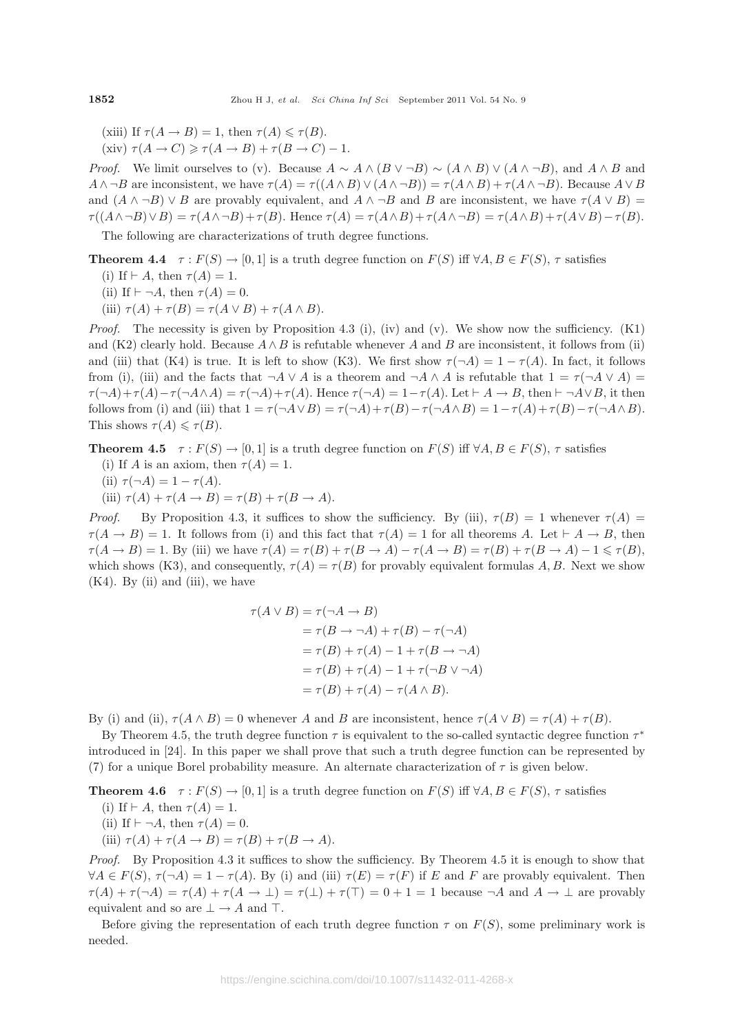(xiii) If  $\tau(A \to B) = 1$ , then  $\tau(A) \leq \tau(B)$ .

(xiv)  $\tau(A \to C) \geq \tau(A \to B) + \tau(B \to C) - 1$ .

*Proof.* We limit ourselves to (v). Because  $A \sim A \wedge (B \vee \neg B) \sim (A \wedge B) \vee (A \wedge \neg B)$ , and  $A \wedge B$  and  $A \wedge \neg B$  are inconsistent, we have  $\tau(A) = \tau((A \wedge B) \vee (A \wedge \neg B)) = \tau(A \wedge B) + \tau(A \wedge \neg B)$ . Because  $A \vee B$ and  $(A \wedge \neg B) \vee B$  are provably equivalent, and  $A \wedge \neg B$  and B are inconsistent, we have  $\tau(A \vee B)$  $\tau((A \wedge \neg B) \vee B) = \tau(A \wedge \neg B) + \tau(B)$ . Hence  $\tau(A) = \tau(A \wedge B) + \tau(A \wedge \neg B) = \tau(A \wedge B) + \tau(A \vee B) - \tau(B)$ .

The following are characterizations of truth degree functions.

**Theorem 4.4**  $\tau : F(S) \to [0, 1]$  is a truth degree function on  $F(S)$  iff  $\forall A, B \in F(S)$ ,  $\tau$  satisfies

- (i) If  $\vdash A$ , then  $\tau(A)=1$ .
- (ii) If  $\vdash \neg A$ , then  $\tau(A) = 0$ .
- (iii)  $\tau(A) + \tau(B) = \tau(A \vee B) + \tau(A \wedge B).$

*Proof.* The necessity is given by Proposition 4.3 (i), (iv) and (v). We show now the sufficiency.  $(K1)$ and (K2) clearly hold. Because  $A \wedge B$  is refutable whenever A and B are inconsistent, it follows from (ii) and (iii) that (K4) is true. It is left to show (K3). We first show  $\tau(\neg A)=1 - \tau(A)$ . In fact, it follows from (i), (iii) and the facts that  $\neg A \lor A$  is a theorem and  $\neg A \land A$  is refutable that  $1 = \tau(\neg A \lor A)$  $\tau(\neg A)+\tau(A)-\tau(\neg A\wedge A)=\tau(\neg A)+\tau(A)$ . Hence  $\tau(\neg A)=1-\tau(A)$ . Let  $\vdash A\rightarrow B$ , then  $\vdash \neg A\vee B$ , it then follows from (i) and (iii) that  $1 = \tau(\neg A \lor B) = \tau(\neg A) + \tau(B) - \tau(\neg A \land B) = 1 - \tau(A) + \tau(B) - \tau(\neg A \land B)$ . This shows  $\tau(A) \leq \tau(B)$ .

**Theorem 4.5**  $\tau : F(S) \to [0,1]$  is a truth degree function on  $F(S)$  iff  $\forall A, B \in F(S)$ ,  $\tau$  satisfies

- (i) If A is an axiom, then  $\tau(A)=1$ .
- (ii)  $\tau(\neg A)=1 \tau(A)$ .
- (iii)  $\tau(A) + \tau(A \rightarrow B) = \tau(B) + \tau(B \rightarrow A).$

*Proof.* By Proposition 4.3, it suffices to show the sufficiency. By (iii),  $\tau(B) = 1$  whenever  $\tau(A) =$  $\tau(A \to B) = 1$ . It follows from (i) and this fact that  $\tau(A) = 1$  for all theorems A. Let  $\vdash A \to B$ , then  $\tau(A \to B) = 1$ . By (iii) we have  $\tau(A) = \tau(B) + \tau(B \to A) - \tau(A \to B) = \tau(B) + \tau(B \to A) - 1 \leq \tau(B)$ , which shows (K3), and consequently,  $\tau(A) = \tau(B)$  for provably equivalent formulas A, B. Next we show  $(K4)$ . By (ii) and (iii), we have

$$
\tau(A \lor B) = \tau(\neg A \to B)
$$
  
=  $\tau(B \to \neg A) + \tau(B) - \tau(\neg A)$   
=  $\tau(B) + \tau(A) - 1 + \tau(B \to \neg A)$   
=  $\tau(B) + \tau(A) - 1 + \tau(\neg B \lor \neg A)$   
=  $\tau(B) + \tau(A) - \tau(A \land B)$ .

By (i) and (ii),  $\tau(A \wedge B) = 0$  whenever A and B are inconsistent, hence  $\tau(A \vee B) = \tau(A) + \tau(B)$ .

By Theorem 4.5, the truth degree function  $\tau$  is equivalent to the so-called syntactic degree function  $\tau^*$ introduced in [24]. In this paper we shall prove that such a truth degree function can be represented by (7) for a unique Borel probability measure. An alternate characterization of  $\tau$  is given below.

**Theorem 4.6**  $\tau: F(S) \to [0,1]$  is a truth degree function on  $F(S)$  iff  $\forall A, B \in F(S)$ ,  $\tau$  satisfies

- (i) If  $\vdash A$ , then  $\tau(A) = 1$ .
- (ii) If  $\vdash \neg A$ , then  $\tau(A)=0$ .
- (iii)  $\tau(A) + \tau(A \rightarrow B) = \tau(B) + \tau(B \rightarrow A).$

*Proof.* By Proposition 4.3 it suffices to show the sufficiency. By Theorem 4.5 it is enough to show that  $\forall A \in F(S), \tau(\neg A)=1 - \tau(A)$ . By (i) and (iii)  $\tau(E) = \tau(F)$  if E and F are provably equivalent. Then  $\tau(A) + \tau(\neg A) = \tau(A) + \tau(A \to \bot) = \tau(\bot) + \tau(\top) = 0 + 1 = 1$  because  $\neg A$  and  $A \to \bot$  are provably equivalent and so are  $\perp \to A$  and  $\top$ .

Before giving the representation of each truth degree function  $\tau$  on  $F(S)$ , some preliminary work is needed.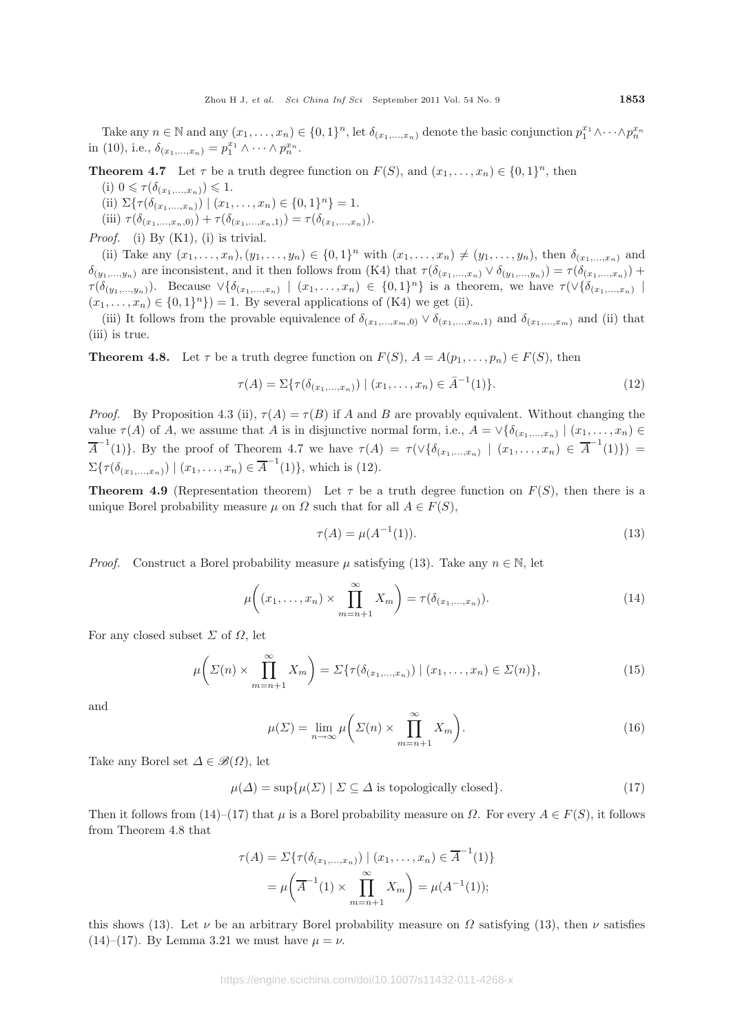Take any  $n \in \mathbb{N}$  and any  $(x_1, \ldots, x_n) \in \{0,1\}^n$ , let  $\delta_{(x_1,\ldots,x_n)}$  denote the basic conjunction  $p_1^{x_1} \wedge \cdots \wedge p_n^{x_n}$ in (10), i.e.,  $\delta_{(x_1,...,x_n)} = p_1^{x_1} \wedge \cdots \wedge p_n^{x_n}$ .

**Theorem 4.7** Let  $\tau$  be a truth degree function on  $F(S)$ , and  $(x_1, \ldots, x_n) \in \{0, 1\}^n$ , then

- (i)  $0 \leq \tau(\delta_{(x_1,...,x_n)}) \leq 1$ .
- (ii)  $\Sigma\{\tau(\delta_{(x_1,...,x_n)}) \mid (x_1,...,x_n) \in \{0,1\}^n\} = 1.$
- (iii)  $\tau(\delta_{(x_1,...,x_n,0)}) + \tau(\delta_{(x_1,...,x_n,1)}) = \tau(\delta_{(x_1,...,x_n)}).$

*Proof.* (i) By (K1), (i) is trivial.

(ii) Take any  $(x_1,...,x_n), (y_1,...,y_n) \in \{0,1\}^n$  with  $(x_1,...,x_n) \neq (y_1,...,y_n)$ , then  $\delta_{(x_1,...,x_n)}$  and  $\delta_{(y_1,...,y_n)}$  are inconsistent, and it then follows from (K4) that  $\tau(\delta_{(x_1,...,x_n)} \vee \delta_{(y_1,...,y_n)}) = \tau(\delta_{(x_1,...,x_n)}) +$  $\tau(\delta_{(y_1,...,y_n)})$ . Because  $\vee \{\delta_{(x_1,...,x_n)} \mid (x_1,...,x_n) \in \{0,1\}^n\}$  is a theorem, we have  $\tau(\vee \{\delta_{(x_1,...,x_n)}\mid (x_1,...,x_n) \in \{0,1\}^n\})$  $(x_1,\ldots,x_n) \in \{0,1\}^n\}) = 1$ . By several applications of (K4) we get (ii).

(iii) It follows from the provable equivalence of  $\delta_{(x_1,...,x_m,0)} \vee \delta_{(x_1,...,x_m,1)}$  and  $\delta_{(x_1,...,x_m)}$  and (ii) that (iii) is true.

**Theorem 4.8.** Let  $\tau$  be a truth degree function on  $F(S)$ ,  $A = A(p_1, \ldots, p_n) \in F(S)$ , then

$$
\tau(A) = \Sigma \{ \tau(\delta_{(x_1,\ldots,x_n)}) \mid (x_1,\ldots,x_n) \in \bar{A}^{-1}(1) \}. \tag{12}
$$

*Proof.* By Proposition 4.3 (ii),  $\tau(A) = \tau(B)$  if A and B are provably equivalent. Without changing the value  $\tau(A)$  of A, we assume that A is in disjunctive normal form, i.e.,  $A = \vee \{ \delta_{(x_1,...,x_n)} \mid (x_1,...,x_n) \in$  $\overline{A}^{-1}(1)$ . By the proof of Theorem 4.7 we have  $\tau(A) = \tau(\vee \{ \delta_{(x_1,...,x_n)} \mid (x_1,...,x_n) \in \overline{A}^{-1}(1) \}) =$  $\Sigma\{\tau(\delta_{(x_1,...,x_n)}) \mid (x_1,...,x_n) \in \overline{A}^{-1}(1)\},\$  which is (12).

**Theorem 4.9** (Representation theorem) Let  $\tau$  be a truth degree function on  $F(S)$ , then there is a unique Borel probability measure  $\mu$  on  $\Omega$  such that for all  $A \in F(S)$ ,

$$
\tau(A) = \mu(A^{-1}(1)).\tag{13}
$$

*Proof.* Construct a Borel probability measure  $\mu$  satisfying (13). Take any  $n \in \mathbb{N}$ , let

$$
\mu\bigg((x_1,\ldots,x_n)\times\prod_{m=n+1}^{\infty}X_m\bigg)=\tau(\delta_{(x_1,\ldots,x_n)}).
$$
\n(14)

For any closed subset  $\Sigma$  of  $\Omega$ , let

$$
\mu\bigg(\Sigma(n)\times\prod_{m=n+1}^{\infty}X_m\bigg)=\Sigma\{\tau(\delta_{(x_1,\ldots,x_n)})\mid (x_1,\ldots,x_n)\in\Sigma(n)\},\tag{15}
$$

and

$$
\mu(\Sigma) = \lim_{n \to \infty} \mu\bigg(\Sigma(n) \times \prod_{m=n+1}^{\infty} X_m\bigg). \tag{16}
$$

Take any Borel set  $\Delta \in \mathscr{B}(\Omega)$ , let

$$
\mu(\Delta) = \sup \{ \mu(\Sigma) \mid \Sigma \subseteq \Delta \text{ is topologically closed} \}. \tag{17}
$$

Then it follows from (14)–(17) that  $\mu$  is a Borel probability measure on  $\Omega$ . For every  $A \in F(S)$ , it follows from Theorem 4.8 that

$$
\tau(A) = \Sigma \{ \tau(\delta_{(x_1,...,x_n)}) \mid (x_1,...,x_n) \in \overline{A}^{-1}(1) \}
$$

$$
= \mu \left( \overline{A}^{-1}(1) \times \prod_{m=n+1}^{\infty} X_m \right) = \mu(A^{-1}(1));
$$

this shows (13). Let  $\nu$  be an arbitrary Borel probability measure on  $\Omega$  satisfying (13), then  $\nu$  satisfies (14)–(17). By Lemma 3.21 we must have  $\mu = \nu$ .